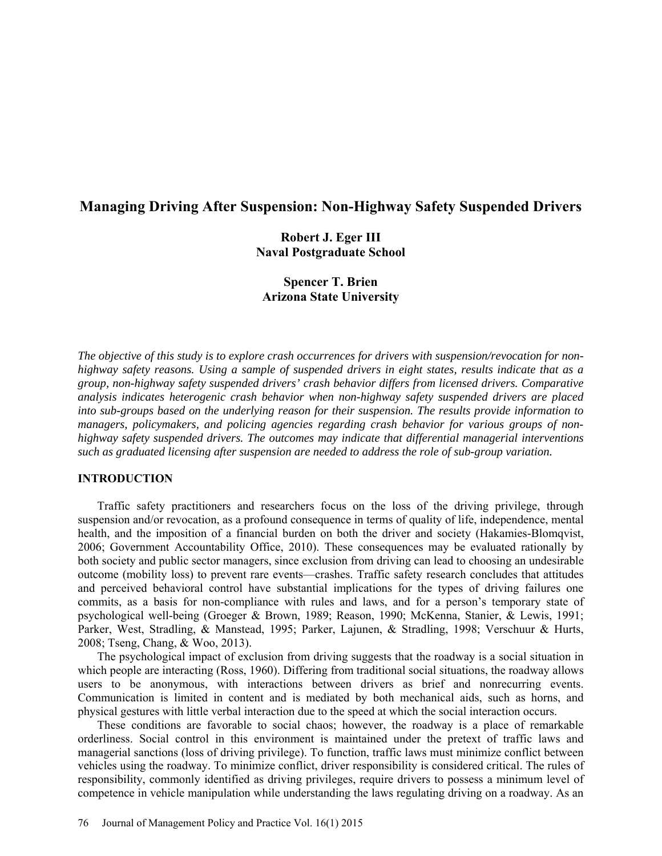# **Managing Driving After Suspension: Non-Highway Safety Suspended Drivers**

## **Robert J. Eger III Naval Postgraduate School**

## **Spencer T. Brien Arizona State University**

*The objective of this study is to explore crash occurrences for drivers with suspension/revocation for nonhighway safety reasons. Using a sample of suspended drivers in eight states, results indicate that as a group, non-highway safety suspended drivers' crash behavior differs from licensed drivers. Comparative analysis indicates heterogenic crash behavior when non-highway safety suspended drivers are placed into sub-groups based on the underlying reason for their suspension. The results provide information to managers, policymakers, and policing agencies regarding crash behavior for various groups of nonhighway safety suspended drivers. The outcomes may indicate that differential managerial interventions such as graduated licensing after suspension are needed to address the role of sub-group variation.* 

## **INTRODUCTION**

Traffic safety practitioners and researchers focus on the loss of the driving privilege, through suspension and/or revocation, as a profound consequence in terms of quality of life, independence, mental health, and the imposition of a financial burden on both the driver and society (Hakamies-Blomqvist, 2006; Government Accountability Office, 2010). These consequences may be evaluated rationally by both society and public sector managers, since exclusion from driving can lead to choosing an undesirable outcome (mobility loss) to prevent rare events—crashes. Traffic safety research concludes that attitudes and perceived behavioral control have substantial implications for the types of driving failures one commits, as a basis for non-compliance with rules and laws, and for a person's temporary state of psychological well-being (Groeger & Brown, 1989; Reason, 1990; McKenna, Stanier, & Lewis, 1991; Parker, West, Stradling, & Manstead, 1995; Parker, Lajunen, & Stradling, 1998; Verschuur & Hurts, 2008; Tseng, Chang, & Woo, 2013).

The psychological impact of exclusion from driving suggests that the roadway is a social situation in which people are interacting (Ross, 1960). Differing from traditional social situations, the roadway allows users to be anonymous, with interactions between drivers as brief and nonrecurring events. Communication is limited in content and is mediated by both mechanical aids, such as horns, and physical gestures with little verbal interaction due to the speed at which the social interaction occurs.

These conditions are favorable to social chaos; however, the roadway is a place of remarkable orderliness. Social control in this environment is maintained under the pretext of traffic laws and managerial sanctions (loss of driving privilege). To function, traffic laws must minimize conflict between vehicles using the roadway. To minimize conflict, driver responsibility is considered critical. The rules of responsibility, commonly identified as driving privileges, require drivers to possess a minimum level of competence in vehicle manipulation while understanding the laws regulating driving on a roadway. As an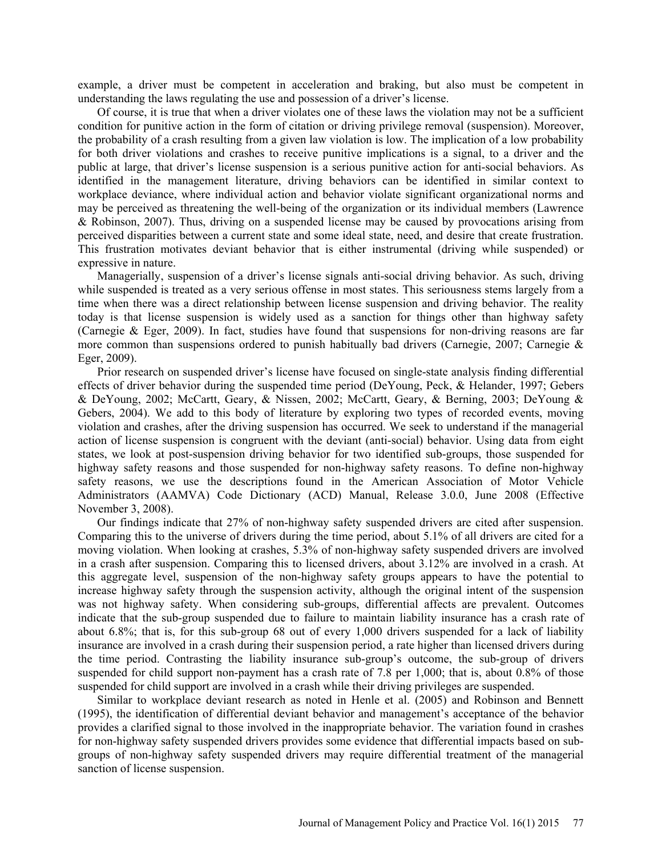example, a driver must be competent in acceleration and braking, but also must be competent in understanding the laws regulating the use and possession of a driver's license.

Of course, it is true that when a driver violates one of these laws the violation may not be a sufficient condition for punitive action in the form of citation or driving privilege removal (suspension). Moreover, the probability of a crash resulting from a given law violation is low. The implication of a low probability for both driver violations and crashes to receive punitive implications is a signal, to a driver and the public at large, that driver's license suspension is a serious punitive action for anti-social behaviors. As identified in the management literature, driving behaviors can be identified in similar context to workplace deviance, where individual action and behavior violate significant organizational norms and may be perceived as threatening the well-being of the organization or its individual members (Lawrence & Robinson, 2007). Thus, driving on a suspended license may be caused by provocations arising from perceived disparities between a current state and some ideal state, need, and desire that create frustration. This frustration motivates deviant behavior that is either instrumental (driving while suspended) or expressive in nature.

Managerially, suspension of a driver's license signals anti-social driving behavior. As such, driving while suspended is treated as a very serious offense in most states. This seriousness stems largely from a time when there was a direct relationship between license suspension and driving behavior. The reality today is that license suspension is widely used as a sanction for things other than highway safety (Carnegie & Eger, 2009). In fact, studies have found that suspensions for non-driving reasons are far more common than suspensions ordered to punish habitually bad drivers (Carnegie, 2007; Carnegie  $\&$ Eger, 2009).

Prior research on suspended driver's license have focused on single-state analysis finding differential effects of driver behavior during the suspended time period (DeYoung, Peck, & Helander, 1997; Gebers & DeYoung, 2002; McCartt, Geary, & Nissen, 2002; McCartt, Geary, & Berning, 2003; DeYoung & Gebers, 2004). We add to this body of literature by exploring two types of recorded events, moving violation and crashes, after the driving suspension has occurred. We seek to understand if the managerial action of license suspension is congruent with the deviant (anti-social) behavior. Using data from eight states, we look at post-suspension driving behavior for two identified sub-groups, those suspended for highway safety reasons and those suspended for non-highway safety reasons. To define non-highway safety reasons, we use the descriptions found in the American Association of Motor Vehicle Administrators (AAMVA) Code Dictionary (ACD) Manual, Release 3.0.0, June 2008 (Effective November 3, 2008).

Our findings indicate that 27% of non-highway safety suspended drivers are cited after suspension. Comparing this to the universe of drivers during the time period, about 5.1% of all drivers are cited for a moving violation. When looking at crashes, 5.3% of non-highway safety suspended drivers are involved in a crash after suspension. Comparing this to licensed drivers, about 3.12% are involved in a crash. At this aggregate level, suspension of the non-highway safety groups appears to have the potential to increase highway safety through the suspension activity, although the original intent of the suspension was not highway safety. When considering sub-groups, differential affects are prevalent. Outcomes indicate that the sub-group suspended due to failure to maintain liability insurance has a crash rate of about 6.8%; that is, for this sub-group 68 out of every 1,000 drivers suspended for a lack of liability insurance are involved in a crash during their suspension period, a rate higher than licensed drivers during the time period. Contrasting the liability insurance sub-group's outcome, the sub-group of drivers suspended for child support non-payment has a crash rate of 7.8 per 1,000; that is, about 0.8% of those suspended for child support are involved in a crash while their driving privileges are suspended.

Similar to workplace deviant research as noted in Henle et al. (2005) and Robinson and Bennett (1995), the identification of differential deviant behavior and management's acceptance of the behavior provides a clarified signal to those involved in the inappropriate behavior. The variation found in crashes for non-highway safety suspended drivers provides some evidence that differential impacts based on subgroups of non-highway safety suspended drivers may require differential treatment of the managerial sanction of license suspension.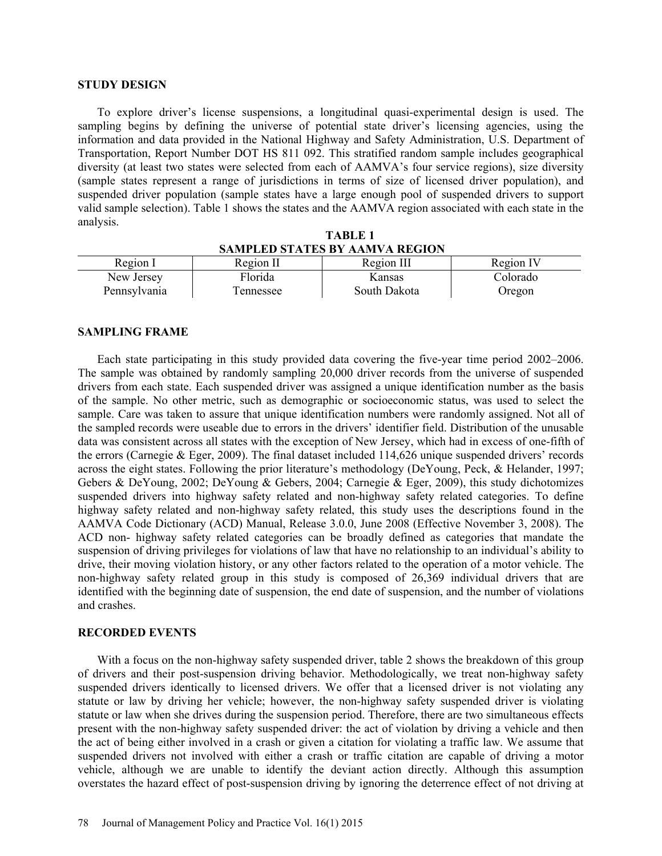#### **STUDY DESIGN**

To explore driver's license suspensions, a longitudinal quasi-experimental design is used. The sampling begins by defining the universe of potential state driver's licensing agencies, using the information and data provided in the National Highway and Safety Administration, U.S. Department of Transportation, Report Number DOT HS 811 092. This stratified random sample includes geographical diversity (at least two states were selected from each of AAMVA's four service regions), size diversity (sample states represent a range of jurisdictions in terms of size of licensed driver population), and suspended driver population (sample states have a large enough pool of suspended drivers to support valid sample selection). Table 1 shows the states and the AAMVA region associated with each state in the analysis.

| <b>TABLE 1</b>                        |
|---------------------------------------|
| <b>SAMPLED STATES BY AAMVA REGION</b> |

| Region I     | Region II  | Region III   | Region IV |
|--------------|------------|--------------|-----------|
| New Jersey   | Florida    | Kansas       | Colorado  |
| Pennsylvania | l ennessee | South Dakota | Oregon    |

#### **SAMPLING FRAME**

Each state participating in this study provided data covering the five-year time period 2002–2006. The sample was obtained by randomly sampling 20,000 driver records from the universe of suspended drivers from each state. Each suspended driver was assigned a unique identification number as the basis of the sample. No other metric, such as demographic or socioeconomic status, was used to select the sample. Care was taken to assure that unique identification numbers were randomly assigned. Not all of the sampled records were useable due to errors in the drivers' identifier field. Distribution of the unusable data was consistent across all states with the exception of New Jersey, which had in excess of one-fifth of the errors (Carnegie & Eger, 2009). The final dataset included 114,626 unique suspended drivers' records across the eight states. Following the prior literature's methodology (DeYoung, Peck, & Helander, 1997; Gebers & DeYoung, 2002; DeYoung & Gebers, 2004; Carnegie & Eger, 2009), this study dichotomizes suspended drivers into highway safety related and non-highway safety related categories. To define highway safety related and non-highway safety related, this study uses the descriptions found in the AAMVA Code Dictionary (ACD) Manual, Release 3.0.0, June 2008 (Effective November 3, 2008). The ACD non- highway safety related categories can be broadly defined as categories that mandate the suspension of driving privileges for violations of law that have no relationship to an individual's ability to drive, their moving violation history, or any other factors related to the operation of a motor vehicle. The non-highway safety related group in this study is composed of 26,369 individual drivers that are identified with the beginning date of suspension, the end date of suspension, and the number of violations and crashes.

### **RECORDED EVENTS**

With a focus on the non-highway safety suspended driver, table 2 shows the breakdown of this group of drivers and their post-suspension driving behavior. Methodologically, we treat non-highway safety suspended drivers identically to licensed drivers. We offer that a licensed driver is not violating any statute or law by driving her vehicle; however, the non-highway safety suspended driver is violating statute or law when she drives during the suspension period. Therefore, there are two simultaneous effects present with the non-highway safety suspended driver: the act of violation by driving a vehicle and then the act of being either involved in a crash or given a citation for violating a traffic law. We assume that suspended drivers not involved with either a crash or traffic citation are capable of driving a motor vehicle, although we are unable to identify the deviant action directly. Although this assumption overstates the hazard effect of post-suspension driving by ignoring the deterrence effect of not driving at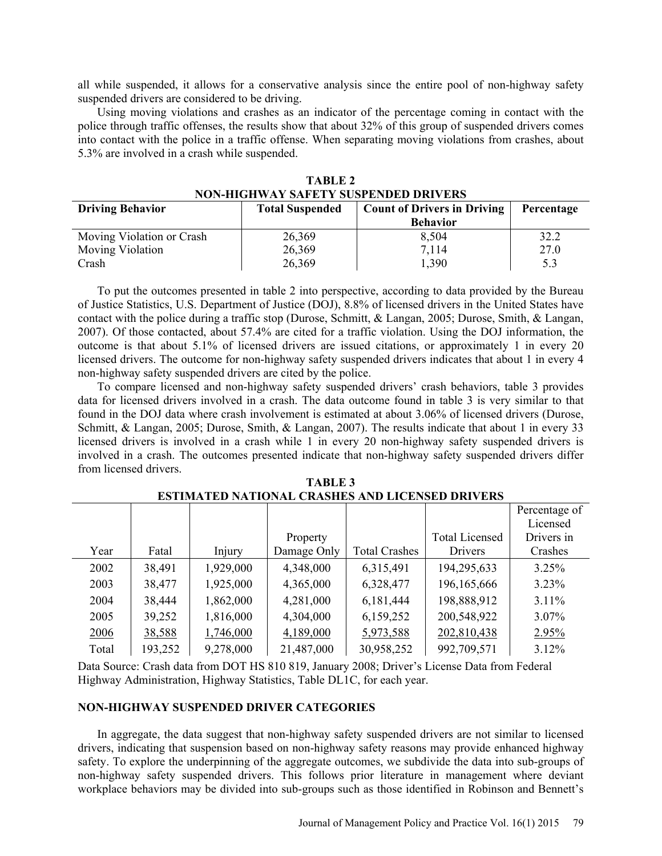all while suspended, it allows for a conservative analysis since the entire pool of non-highway safety suspended drivers are considered to be driving.

Using moving violations and crashes as an indicator of the percentage coming in contact with the police through traffic offenses, the results show that about 32% of this group of suspended drivers comes into contact with the police in a traffic offense. When separating moving violations from crashes, about 5.3% are involved in a crash while suspended.

| <b>Driving Behavior</b>   | <b>Count of Drivers in Driving</b><br><b>Total Suspended</b> |                 | Percentage |  |
|---------------------------|--------------------------------------------------------------|-----------------|------------|--|
|                           |                                                              | <b>Behavior</b> |            |  |
| Moving Violation or Crash | 26,369                                                       | 8,504           | 32.2       |  |
| <b>Moving Violation</b>   | 26,369                                                       | 7.114           | 27.0       |  |
| Crash                     | 26,369                                                       | ,390            | 53         |  |

**TABLE 2 NON-HIGHWAY SAFETY SUSPENDED DRIVERS** 

To put the outcomes presented in table 2 into perspective, according to data provided by the Bureau of Justice Statistics, U.S. Department of Justice (DOJ), 8.8% of licensed drivers in the United States have contact with the police during a traffic stop (Durose, Schmitt, & Langan, 2005; Durose, Smith, & Langan, 2007). Of those contacted, about 57.4% are cited for a traffic violation. Using the DOJ information, the outcome is that about 5.1% of licensed drivers are issued citations, or approximately 1 in every 20 licensed drivers. The outcome for non-highway safety suspended drivers indicates that about 1 in every 4 non-highway safety suspended drivers are cited by the police.

To compare licensed and non-highway safety suspended drivers' crash behaviors, table 3 provides data for licensed drivers involved in a crash. The data outcome found in table 3 is very similar to that found in the DOJ data where crash involvement is estimated at about 3.06% of licensed drivers (Durose, Schmitt, & Langan, 2005; Durose, Smith, & Langan, 2007). The results indicate that about 1 in every 33 licensed drivers is involved in a crash while 1 in every 20 non-highway safety suspended drivers is involved in a crash. The outcomes presented indicate that non-highway safety suspended drivers differ from licensed drivers.

|       |         |           |             |                      |                       | Percentage of |
|-------|---------|-----------|-------------|----------------------|-----------------------|---------------|
|       |         |           |             |                      |                       | Licensed      |
|       |         |           | Property    |                      | <b>Total Licensed</b> | Drivers in    |
| Year  | Fatal   | Injury    | Damage Only | <b>Total Crashes</b> | <b>Drivers</b>        | Crashes       |
| 2002  | 38,491  | 1,929,000 | 4,348,000   | 6,315,491            | 194,295,633           | 3.25%         |
| 2003  | 38,477  | 1,925,000 | 4,365,000   | 6,328,477            | 196, 165, 666         | $3.23\%$      |
| 2004  | 38,444  | 1,862,000 | 4,281,000   | 6,181,444            | 198,888,912           | $3.11\%$      |
| 2005  | 39,252  | 1,816,000 | 4,304,000   | 6,159,252            | 200,548,922           | 3.07%         |
| 2006  | 38,588  | 1,746,000 | 4,189,000   | 5,973,588            | 202,810,438           | 2.95%         |
| Total | 193,252 | 9,278,000 | 21,487,000  | 30,958,252           | 992,709,571           | 3.12%         |

**TABLE 3 ESTIMATED NATIONAL CRASHES AND LICENSED DRIVERS**

Data Source: Crash data from DOT HS 810 819, January 2008; Driver's License Data from Federal Highway Administration, Highway Statistics, Table DL1C, for each year.

### **NON-HIGHWAY SUSPENDED DRIVER CATEGORIES**

In aggregate, the data suggest that non-highway safety suspended drivers are not similar to licensed drivers, indicating that suspension based on non-highway safety reasons may provide enhanced highway safety. To explore the underpinning of the aggregate outcomes, we subdivide the data into sub-groups of non-highway safety suspended drivers. This follows prior literature in management where deviant workplace behaviors may be divided into sub-groups such as those identified in Robinson and Bennett's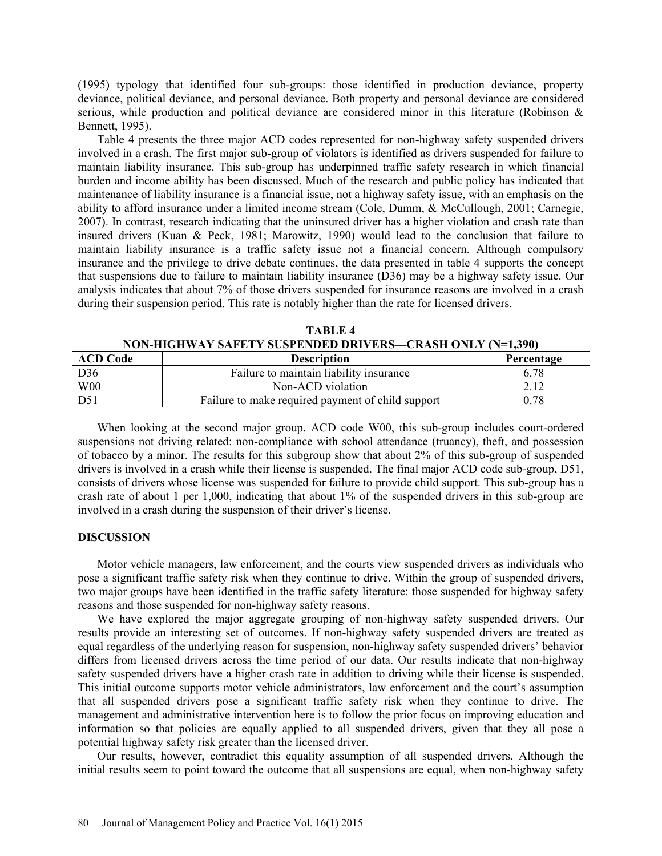(1995) typology that identified four sub-groups: those identified in production deviance, property deviance, political deviance, and personal deviance. Both property and personal deviance are considered serious, while production and political deviance are considered minor in this literature (Robinson & Bennett, 1995).

Table 4 presents the three major ACD codes represented for non-highway safety suspended drivers involved in a crash. The first major sub-group of violators is identified as drivers suspended for failure to maintain liability insurance. This sub-group has underpinned traffic safety research in which financial burden and income ability has been discussed. Much of the research and public policy has indicated that maintenance of liability insurance is a financial issue, not a highway safety issue, with an emphasis on the ability to afford insurance under a limited income stream (Cole, Dumm, & McCullough, 2001; Carnegie, 2007). In contrast, research indicating that the uninsured driver has a higher violation and crash rate than insured drivers (Kuan & Peck, 1981; Marowitz, 1990) would lead to the conclusion that failure to maintain liability insurance is a traffic safety issue not a financial concern. Although compulsory insurance and the privilege to drive debate continues, the data presented in table 4 supports the concept that suspensions due to failure to maintain liability insurance (D36) may be a highway safety issue. Our analysis indicates that about 7% of those drivers suspended for insurance reasons are involved in a crash during their suspension period. This rate is notably higher than the rate for licensed drivers.

| TARLE 4                                                   |  |
|-----------------------------------------------------------|--|
| NON-HIGHWAY SAFETY SUSPENDED DRIVERS—CRASH ONLY (N=1,390) |  |

| <b>ACD Code</b> | <b>Description</b>                                | Percentage |
|-----------------|---------------------------------------------------|------------|
| D36             | Failure to maintain liability insurance           | 6.78       |
| W <sub>00</sub> | Non-ACD violation                                 | 2.12       |
| D51             | Failure to make required payment of child support | 0.78       |

When looking at the second major group, ACD code W00, this sub-group includes court-ordered suspensions not driving related: non-compliance with school attendance (truancy), theft, and possession of tobacco by a minor. The results for this subgroup show that about 2% of this sub-group of suspended drivers is involved in a crash while their license is suspended. The final major ACD code sub-group, D51, consists of drivers whose license was suspended for failure to provide child support. This sub-group has a crash rate of about 1 per 1,000, indicating that about 1% of the suspended drivers in this sub-group are involved in a crash during the suspension of their driver's license.

#### **DISCUSSION**

Motor vehicle managers, law enforcement, and the courts view suspended drivers as individuals who pose a significant traffic safety risk when they continue to drive. Within the group of suspended drivers, two major groups have been identified in the traffic safety literature: those suspended for highway safety reasons and those suspended for non-highway safety reasons.

We have explored the major aggregate grouping of non-highway safety suspended drivers. Our results provide an interesting set of outcomes. If non-highway safety suspended drivers are treated as equal regardless of the underlying reason for suspension, non-highway safety suspended drivers' behavior differs from licensed drivers across the time period of our data. Our results indicate that non-highway safety suspended drivers have a higher crash rate in addition to driving while their license is suspended. This initial outcome supports motor vehicle administrators, law enforcement and the court's assumption that all suspended drivers pose a significant traffic safety risk when they continue to drive. The management and administrative intervention here is to follow the prior focus on improving education and information so that policies are equally applied to all suspended drivers, given that they all pose a potential highway safety risk greater than the licensed driver.

Our results, however, contradict this equality assumption of all suspended drivers. Although the initial results seem to point toward the outcome that all suspensions are equal, when non-highway safety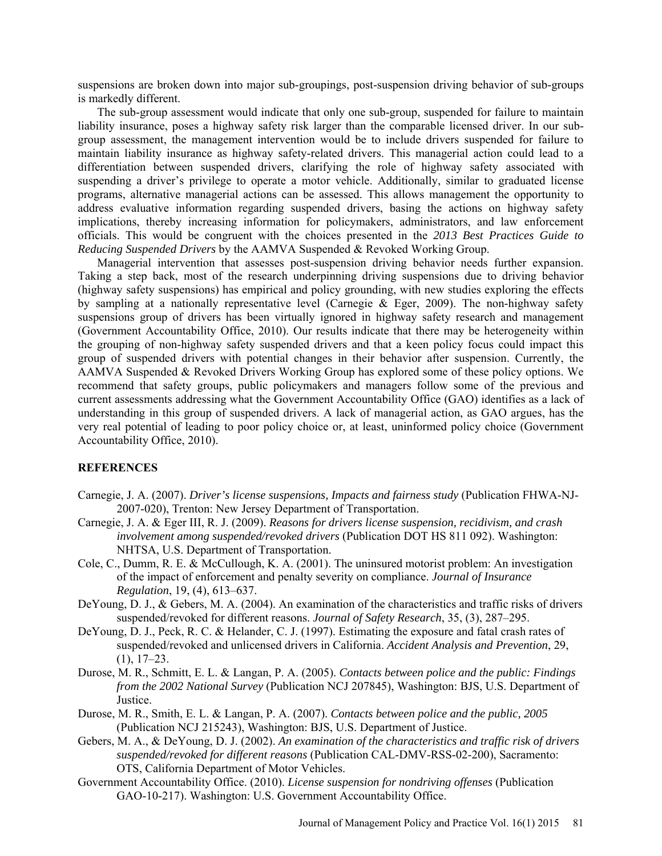suspensions are broken down into major sub-groupings, post-suspension driving behavior of sub-groups is markedly different.

The sub-group assessment would indicate that only one sub-group, suspended for failure to maintain liability insurance, poses a highway safety risk larger than the comparable licensed driver. In our subgroup assessment, the management intervention would be to include drivers suspended for failure to maintain liability insurance as highway safety-related drivers. This managerial action could lead to a differentiation between suspended drivers, clarifying the role of highway safety associated with suspending a driver's privilege to operate a motor vehicle. Additionally, similar to graduated license programs, alternative managerial actions can be assessed. This allows management the opportunity to address evaluative information regarding suspended drivers, basing the actions on highway safety implications, thereby increasing information for policymakers, administrators, and law enforcement officials. This would be congruent with the choices presented in the *2013 Best Practices Guide to Reducing Suspended Drivers* by the AAMVA Suspended & Revoked Working Group.

Managerial intervention that assesses post-suspension driving behavior needs further expansion. Taking a step back, most of the research underpinning driving suspensions due to driving behavior (highway safety suspensions) has empirical and policy grounding, with new studies exploring the effects by sampling at a nationally representative level (Carnegie & Eger, 2009). The non-highway safety suspensions group of drivers has been virtually ignored in highway safety research and management (Government Accountability Office, 2010). Our results indicate that there may be heterogeneity within the grouping of non-highway safety suspended drivers and that a keen policy focus could impact this group of suspended drivers with potential changes in their behavior after suspension. Currently, the AAMVA Suspended & Revoked Drivers Working Group has explored some of these policy options. We recommend that safety groups, public policymakers and managers follow some of the previous and current assessments addressing what the Government Accountability Office (GAO) identifies as a lack of understanding in this group of suspended drivers. A lack of managerial action, as GAO argues, has the very real potential of leading to poor policy choice or, at least, uninformed policy choice (Government Accountability Office, 2010).

#### **REFERENCES**

- Carnegie, J. A. (2007). *Driver's license suspensions, Impacts and fairness study* (Publication FHWA-NJ-2007-020), Trenton: New Jersey Department of Transportation.
- Carnegie, J. A. & Eger III, R. J. (2009). *Reasons for drivers license suspension, recidivism, and crash involvement among suspended/revoked drivers* (Publication DOT HS 811 092). Washington: NHTSA, U.S. Department of Transportation.
- Cole, C., Dumm, R. E. & McCullough, K. A. (2001). The uninsured motorist problem: An investigation of the impact of enforcement and penalty severity on compliance. *Journal of Insurance Regulation*, 19, (4), 613–637.
- DeYoung, D. J., & Gebers, M. A. (2004). An examination of the characteristics and traffic risks of drivers suspended/revoked for different reasons. *Journal of Safety Research*, 35, (3), 287–295.
- DeYoung, D. J., Peck, R. C. & Helander, C. J. (1997). Estimating the exposure and fatal crash rates of suspended/revoked and unlicensed drivers in California. *Accident Analysis and Prevention*, 29,  $(1), 17-23.$
- Durose, M. R., Schmitt, E. L. & Langan, P. A. (2005). *Contacts between police and the public: Findings from the 2002 National Survey* (Publication NCJ 207845), Washington: BJS, U.S. Department of Justice.
- Durose, M. R., Smith, E. L. & Langan, P. A. (2007). *Contacts between police and the public, 2005* (Publication NCJ 215243), Washington: BJS, U.S. Department of Justice.
- Gebers, M. A., & DeYoung, D. J. (2002). *An examination of the characteristics and traffic risk of drivers suspended/revoked for different reasons* (Publication CAL-DMV-RSS-02-200), Sacramento: OTS, California Department of Motor Vehicles.
- Government Accountability Office. (2010). *License suspension for nondriving offenses* (Publication GAO-10-217). Washington: U.S. Government Accountability Office.